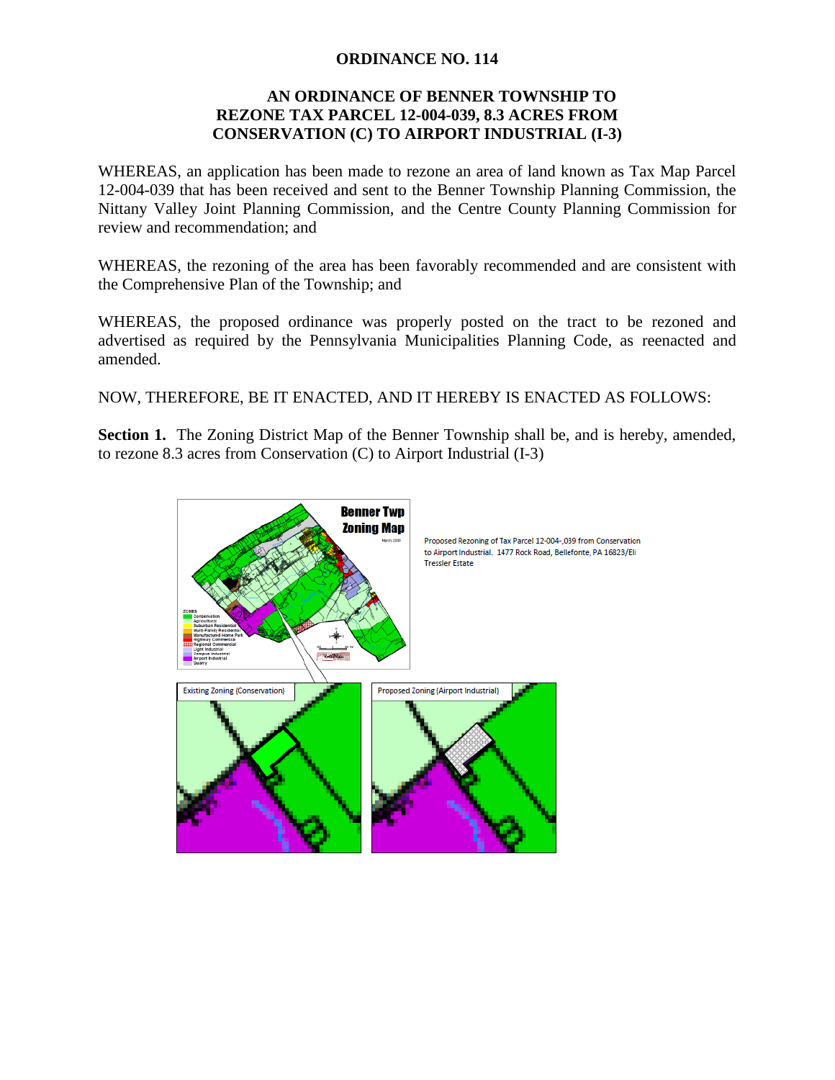## **ORDINANCE NO. 114**

## **AN ORDINANCE OF BENNER TOWNSHIP TO REZONE TAX PARCEL 12-004-039, 8.3 ACRES FROM CONSERVATION (C) TO AIRPORT INDUSTRIAL (I-3)**

WHEREAS, an application has been made to rezone an area of land known as Tax Map Parcel 12-004-039 that has been received and sent to the Benner Township Planning Commission, the Nittany Valley Joint Planning Commission, and the Centre County Planning Commission for review and recommendation; and

WHEREAS, the rezoning of the area has been favorably recommended and are consistent with the Comprehensive Plan of the Township; and

WHEREAS, the proposed ordinance was properly posted on the tract to be rezoned and advertised as required by the Pennsylvania Municipalities Planning Code, as reenacted and amended.

NOW, THEREFORE, BE IT ENACTED, AND IT HEREBY IS ENACTED AS FOLLOWS:

**Section 1.** The Zoning District Map of the Benner Township shall be, and is hereby, amended, to rezone 8.3 acres from Conservation (C) to Airport Industrial (I-3)